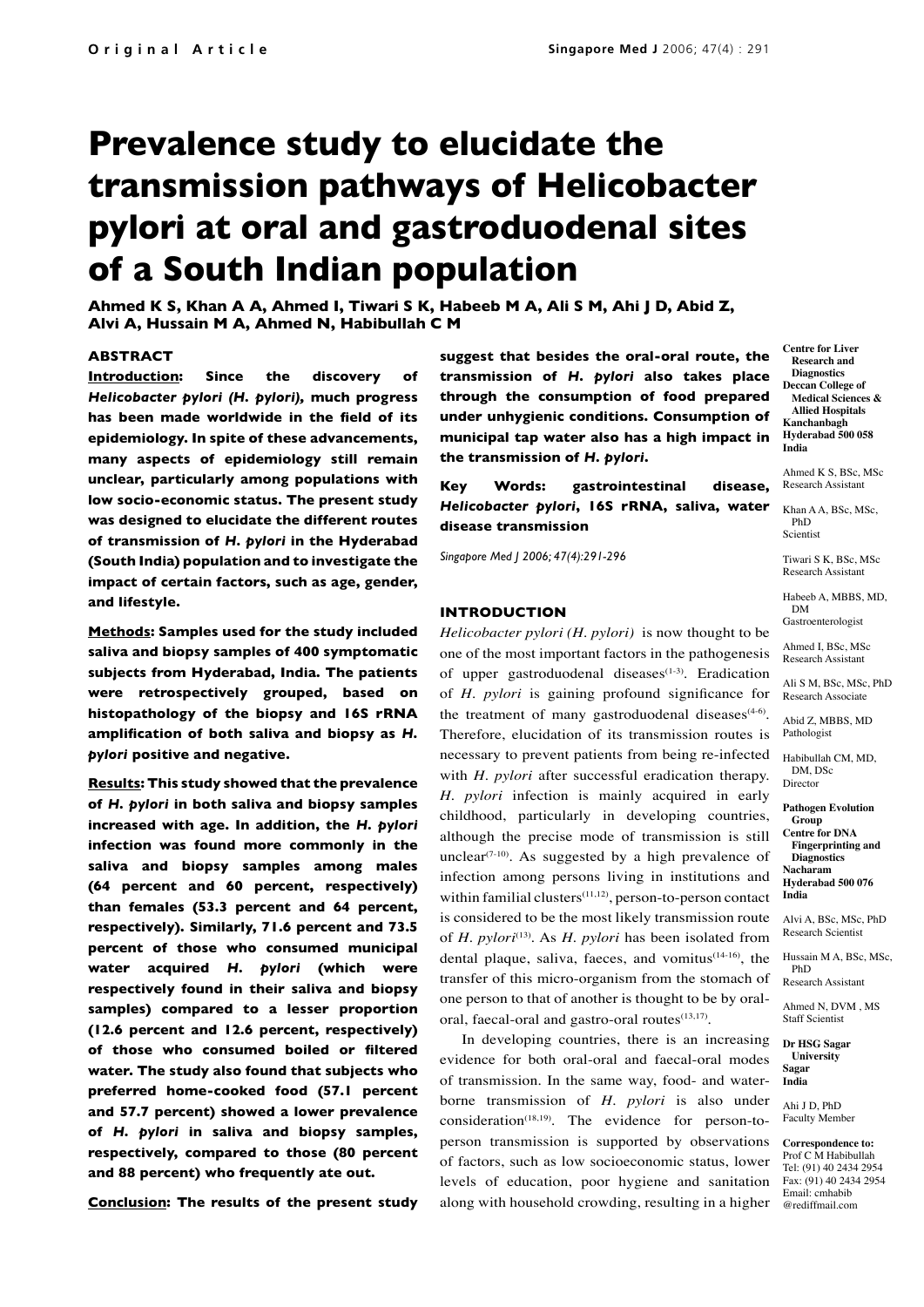# **Prevalence study to elucidate the transmission pathways of Helicobacter pylori at oral and gastroduodenal sites of a South Indian population**

**Ahmed K S, Khan A A, Ahmed I, Tiwari S K, Habeeb M A, Ali S M, Ahi J D, Abid Z, Alvi A, Hussain M A, Ahmed N, Habibullah C M**

#### **ABSTRACT**

**Introduction: Since the discovery of**  *Helicobacter pylori (H. pylori),* **much progress has been made worldwide in the field of its epidemiology. In spite of these advancements, many aspects of epidemiology still remain unclear, particularly among populations with low socio-economic status. The present study was designed to elucidate the different routes of transmission of** *H. pylori* **in the Hyderabad (South India) population and to investigate the impact of certain factors, such as age, gender, and lifestyle.**

**Methods: Samples used for the study included saliva and biopsy samples of 400 symptomatic subjects from Hyderabad, India. The patients were retrospectively grouped, based on histopathology of the biopsy and 16S rRNA amplification of both saliva and biopsy as** *H. pylori* **positive and negative.**

**Results: This study showed that the prevalence of** *H. pylori* **in both saliva and biopsy samples increased with age. In addition, the** *H. pylori* **infection was found more commonly in the saliva and biopsy samples among males (64 percent and 60 percent, respectively) than females (53.3 percent and 64 percent, respectively). Similarly, 71.6 percent and 73.5 percent of those who consumed municipal water acquired** *H. pylori* **(which were respectively found in their saliva and biopsy samples) compared to a lesser proportion (12.6 percent and 12.6 percent, respectively) of those who consumed boiled or filtered water. The study also found that subjects who preferred home-cooked food (57.1 percent and 57.7 percent) showed a lower prevalence of** *H. pylori* **in saliva and biopsy samples, respectively, compared to those (80 percent and 88 percent) who frequently ate out.**

**Conclusion: The results of the present study** 

**suggest that besides the oral-oral route, the transmission of** *H. pylori* **also takes place through the consumption of food prepared under unhygienic conditions. Consumption of municipal tap water also has a high impact in the transmission of** *H. pylori***.** 

## **Key Words: gastrointestinal disease,**  *Helicobacter pylori***, 16S rRNA, saliva, water disease transmission**

*Singapore Med J 2006; 47(4):291-296*

## **INTRODUCTION**

*Helicobacter pylori (H. pylori)* is now thought to be one of the most important factors in the pathogenesis of upper gastroduodenal diseases<sup>(1-3)</sup>. Eradication of *H. pylori* is gaining profound significance for the treatment of many gastroduodenal diseases $(4-6)$ . Therefore, elucidation of its transmission routes is necessary to prevent patients from being re-infected with *H. pylori* after successful eradication therapy. *H. pylori* infection is mainly acquired in early childhood, particularly in developing countries, although the precise mode of transmission is still unclear<sup> $(7-10)$ </sup>. As suggested by a high prevalence of infection among persons living in institutions and within familial clusters<sup>(11,12)</sup>, person-to-person contact is considered to be the most likely transmission route of *H. pylori*(13) . As *H. pylori* has been isolated from dental plaque, saliva, faeces, and vomitus<sup>(14-16)</sup>, the transfer of this micro-organism from the stomach of one person to that of another is thought to be by oraloral, faecal-oral and gastro-oral routes<sup>(13,17)</sup>.

In developing countries, there is an increasing evidence for both oral-oral and faecal-oral modes of transmission. In the same way, food- and waterborne transmission of *H. pylori* is also under  $consideration<sup>(18,19)</sup>$ . The evidence for person-toperson transmission is supported by observations of factors, such as low socioeconomic status, lower levels of education, poor hygiene and sanitation along with household crowding, resulting in a higher

**Centre for Liver Research and Diagnostics Deccan College of Medical Sciences & Allied Hospitals Kanchanbagh Hyderabad 500 058 India**

Ahmed  $K S$ , BSc, MSc Research Assistant

Khan A A, BSc, MSc PhD Scientist

Tiwari S K, BSc, MSc Research Assistant

Habeeb A, MBBS, MD, DM Gastroenterologist

Ahmed I, BSc, MSc Research Assistant

Ali S M, BSc, MSc, PhD Research Associate

Abid Z, MBBS, MD Pathologist

Habibullah CM, MD, DM, DSc Director

**Pathogen Evolution Group Centre for DNA Fingerprinting and Diagnostics Nacharam Hyderabad 500 076**

**India** 

Alvi A, BSc, MSc, PhD Research Scientist

Hussain M A, BSc, MSc, PhD

Research Assistant

Ahmed N, DVM , MS Staff Scientist

**Dr HSG Sagar University Sagar India**

Ahi ID, PhD Faculty Member

**Correspondence to:** Prof C M Habibullah Tel: (91) 40 2434 2954 Fax: (91) 40 2434 2954 Email: cmhabib @rediffmail.com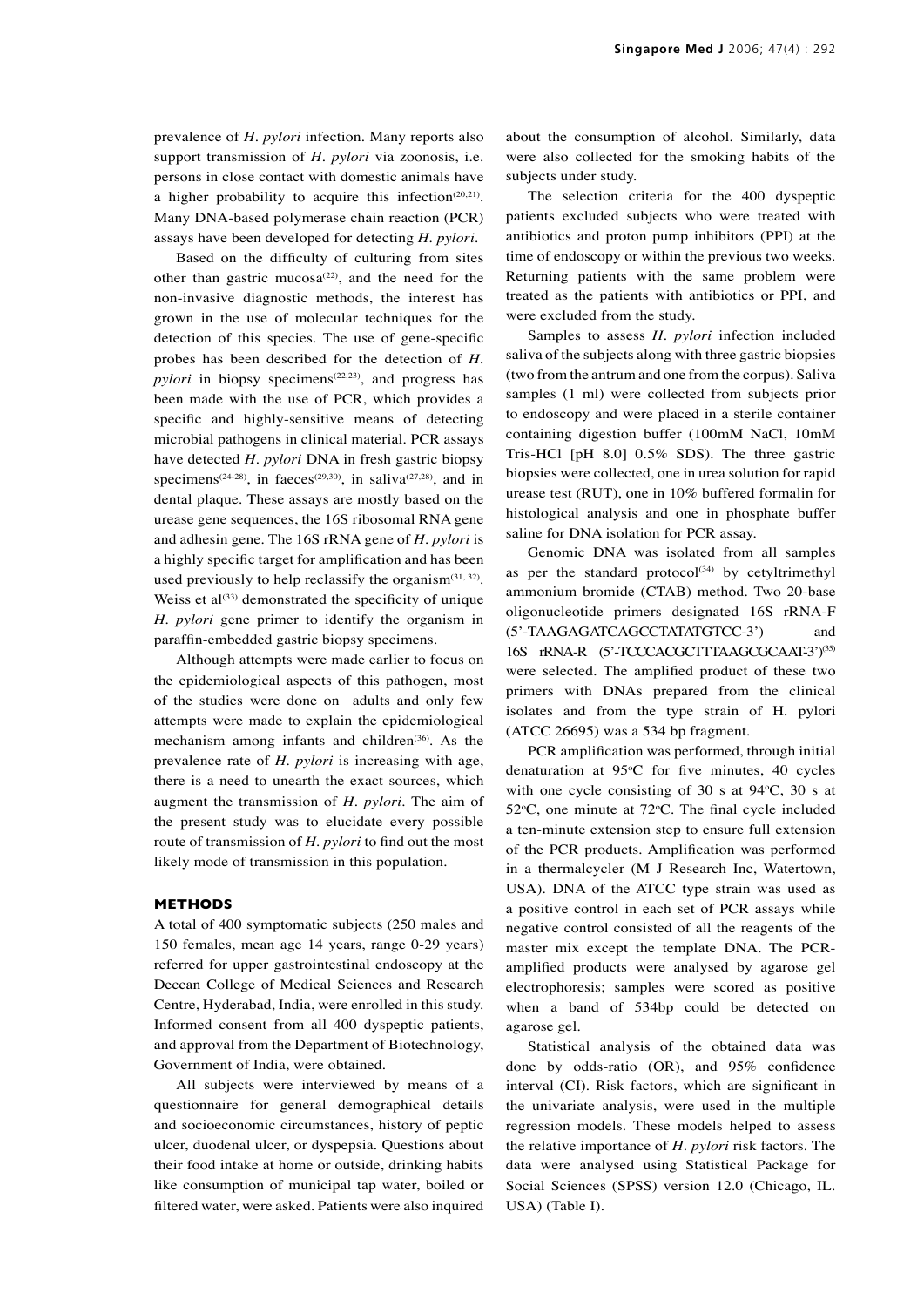prevalence of *H. pylori* infection. Many reports also support transmission of *H. pylori* via zoonosis, i.e. persons in close contact with domestic animals have a higher probability to acquire this infection<sup> $(20,21)$ </sup>. Many DNA-based polymerase chain reaction (PCR) assays have been developed for detecting *H. pylori*.

Based on the difficulty of culturing from sites other than gastric mucosa<sup> $(22)$ </sup>, and the need for the non-invasive diagnostic methods, the interest has grown in the use of molecular techniques for the detection of this species. The use of gene-specific probes has been described for the detection of *H. pylori* in biopsy specimens<sup>(22,23)</sup>, and progress has been made with the use of PCR, which provides a specific and highly-sensitive means of detecting microbial pathogens in clinical material. PCR assays have detected *H. pylori* DNA in fresh gastric biopsy specimens<sup>(24-28)</sup>, in faeces<sup>(29,30)</sup>, in saliva<sup>(27,28)</sup>, and in dental plaque. These assays are mostly based on the urease gene sequences, the 16S ribosomal RNA gene and adhesin gene. The 16S rRNA gene of *H. pylori* is a highly specific target for amplification and has been used previously to help reclassify the organism $(31, 32)$ . Weiss et  $al^{(33)}$  demonstrated the specificity of unique *H. pylori* gene primer to identify the organism in paraffin-embedded gastric biopsy specimens.

Although attempts were made earlier to focus on the epidemiological aspects of this pathogen, most of the studies were done on adults and only few attempts were made to explain the epidemiological mechanism among infants and children<sup>(36)</sup>. As the prevalence rate of *H. pylori* is increasing with age, there is a need to unearth the exact sources, which augment the transmission of *H. pylori*. The aim of the present study was to elucidate every possible route of transmission of *H. pylori* to find out the most likely mode of transmission in this population.

#### **METHODS**

A total of 400 symptomatic subjects (250 males and 150 females, mean age 14 years, range 0-29 years) referred for upper gastrointestinal endoscopy at the Deccan College of Medical Sciences and Research Centre, Hyderabad, India, were enrolled in this study. Informed consent from all 400 dyspeptic patients, and approval from the Department of Biotechnology, Government of India, were obtained.

All subjects were interviewed by means of a questionnaire for general demographical details and socioeconomic circumstances, history of peptic ulcer, duodenal ulcer, or dyspepsia. Questions about their food intake at home or outside, drinking habits like consumption of municipal tap water, boiled or filtered water, were asked. Patients were also inquired about the consumption of alcohol. Similarly, data were also collected for the smoking habits of the subjects under study.

The selection criteria for the 400 dyspeptic patients excluded subjects who were treated with antibiotics and proton pump inhibitors (PPI) at the time of endoscopy or within the previous two weeks. Returning patients with the same problem were treated as the patients with antibiotics or PPI, and were excluded from the study.

Samples to assess *H. pylori* infection included saliva of the subjects along with three gastric biopsies (two from the antrum and one from the corpus). Saliva samples (1 ml) were collected from subjects prior to endoscopy and were placed in a sterile container containing digestion buffer (100mM NaCl, 10mM Tris-HCl [pH 8.0] 0.5% SDS). The three gastric biopsies were collected, one in urea solution for rapid urease test (RUT), one in 10% buffered formalin for histological analysis and one in phosphate buffer saline for DNA isolation for PCR assay.

Genomic DNA was isolated from all samples as per the standard protocol $(34)$  by cetyltrimethyl ammonium bromide (CTAB) method. Two 20-base oligonucleotide primers designated 16S rRNA-F (5'-TAAGAGATCAGCCTATATGTCC-3') and 16S rRNA-R (5'-TCCCACGCTTTAAGCGCAAT-3')<sup>(35)</sup> were selected. The amplified product of these two primers with DNAs prepared from the clinical isolates and from the type strain of H. pylori (ATCC 26695) was a 534 bp fragment.

PCR amplification was performed, through initial denaturation at  $95^{\circ}$ C for five minutes, 40 cycles with one cycle consisting of 30 s at  $94^{\circ}$ C, 30 s at  $52^{\circ}$ C, one minute at  $72^{\circ}$ C. The final cycle included a ten-minute extension step to ensure full extension of the PCR products. Amplification was performed in a thermalcycler (M J Research Inc, Watertown, USA). DNA of the ATCC type strain was used as a positive control in each set of PCR assays while negative control consisted of all the reagents of the master mix except the template DNA. The PCRamplified products were analysed by agarose gel electrophoresis; samples were scored as positive when a band of 534bp could be detected on agarose gel.

Statistical analysis of the obtained data was done by odds-ratio (OR), and 95% confidence interval (CI). Risk factors, which are significant in the univariate analysis, were used in the multiple regression models. These models helped to assess the relative importance of *H. pylori* risk factors. The data were analysed using Statistical Package for Social Sciences (SPSS) version 12.0 (Chicago, IL. USA) (Table I).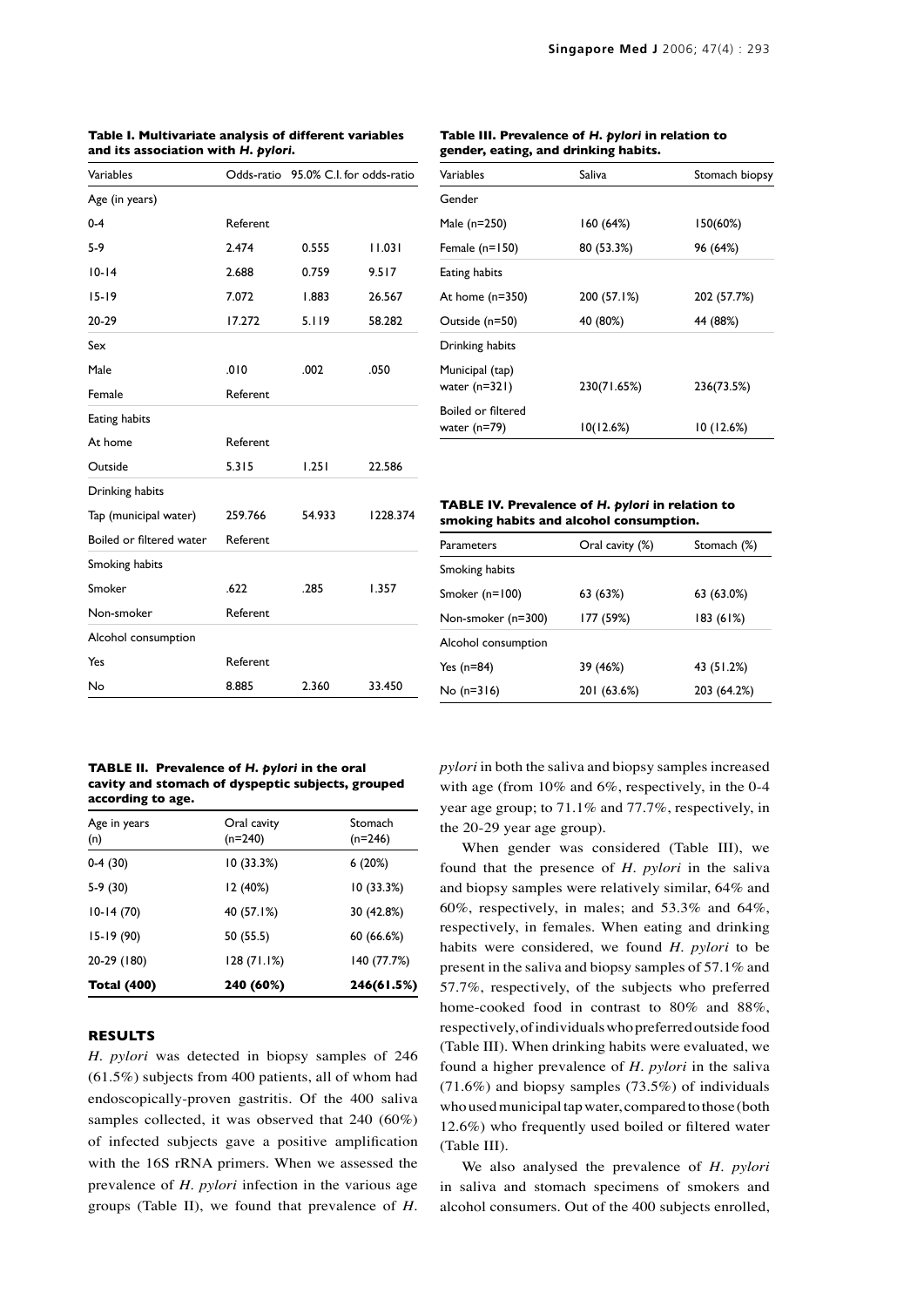| Variables                |          | Odds-ratio 95.0% C.I. for odds-ratio |          |
|--------------------------|----------|--------------------------------------|----------|
| Age (in years)           |          |                                      |          |
| $0 - 4$                  | Referent |                                      |          |
| $5-9$                    | 2.474    | 0.555                                | 11.031   |
| $10 - 14$                | 2.688    | 0.759                                | 9.517    |
| $15 - 19$                | 7.072    | 1.883                                | 26.567   |
| 20-29                    | 17.272   | 5.119                                | 58.282   |
| Sex                      |          |                                      |          |
| Male                     | .010     | .002                                 | .050     |
| Female                   | Referent |                                      |          |
| Eating habits            |          |                                      |          |
| At home                  | Referent |                                      |          |
| Outside                  | 5.315    | 1.251                                | 22.586   |
| Drinking habits          |          |                                      |          |
| Tap (municipal water)    | 259.766  | 54.933                               | 1228.374 |
| Boiled or filtered water | Referent |                                      |          |
| Smoking habits           |          |                                      |          |
| Smoker                   | .622     | .285                                 | 1.357    |
| Non-smoker               | Referent |                                      |          |
| Alcohol consumption      |          |                                      |          |
| Yes                      | Referent |                                      |          |
| No                       | 8.885    | 2.360                                | 33.450   |

## **Table I. Multivariate analysis of different variables and its association with** *H. pylori.*

## **Table III. Prevalence of** *H. pylori* **in relation to gender, eating, and drinking habits.**

| Variables                          | Saliva      | Stomach biopsy |
|------------------------------------|-------------|----------------|
| Gender                             |             |                |
| Male (n=250)                       | 160(64%)    | 150(60%)       |
| Female (n=150)                     | 80 (53.3%)  | 96 (64%)       |
| Eating habits                      |             |                |
| At home (n=350)                    | 200 (57.1%) | 202 (57.7%)    |
| Outside (n=50)                     | 40 (80%)    | 44 (88%)       |
| Drinking habits                    |             |                |
| Municipal (tap)<br>water (n=321)   | 230(71.65%) | 236(73.5%)     |
| Boiled or filtered<br>water (n=79) | 10(12.6%)   | 10 (12.6%)     |

#### **TABLE IV. Prevalence of** *H. pylori* **in relation to smoking habits and alcohol consumption.**

| Parameters          | Oral cavity (%) | Stomach (%) |
|---------------------|-----------------|-------------|
| Smoking habits      |                 |             |
| Smoker (n=100)      | 63 (63%)        | 63 (63.0%)  |
| Non-smoker (n=300)  | 177 (59%)       | 183 (61%)   |
| Alcohol consumption |                 |             |
| Yes (n=84)          | 39 (46%)        | 43 (51.2%)  |
| No (n=316)          | 201 (63.6%)     | 203 (64.2%) |
|                     |                 |             |

#### **TABLE II. Prevalence of** *H. pylori* **in the oral cavity and stomach of dyspeptic subjects, grouped according to age.**

| Age in years<br>(n) | Oral cavity<br>$(n=240)$ | Stomach<br>$(n=246)$ |
|---------------------|--------------------------|----------------------|
| $0-4(30)$           | 10(33.3%)                | 6(20%)               |
| $5-9(30)$           | 12 (40%)                 | 10 (33.3%)           |
| $10-14(70)$         | 40 (57.1%)               | 30 (42.8%)           |
| $15-19(90)$         | 50 (55.5)                | 60(66.6%)            |
| 20-29 (180)         | 128 (71.1%)              | 140 (77.7%)          |
| <b>Total (400)</b>  | 240 (60%)                | 246(61.5%)           |

## **RESULTS**

*H. pylori* was detected in biopsy samples of 246 (61.5%) subjects from 400 patients, all of whom had endoscopically-proven gastritis. Of the 400 saliva samples collected, it was observed that 240 (60%) of infected subjects gave a positive amplification with the 16S rRNA primers. When we assessed the prevalence of *H. pylori* infection in the various age groups (Table II), we found that prevalence of *H.* *pylori* in both the saliva and biopsy samples increased with age (from 10% and 6%, respectively, in the 0-4 year age group; to 71.1% and 77.7%, respectively, in the 20-29 year age group).

When gender was considered (Table III), we found that the presence of *H. pylori* in the saliva and biopsy samples were relatively similar, 64% and 60%, respectively, in males; and 53.3% and 64%, respectively, in females. When eating and drinking habits were considered, we found *H. pylori* to be present in the saliva and biopsy samples of 57.1% and 57.7%, respectively, of the subjects who preferred home-cooked food in contrast to 80% and 88%, respectively, of individuals who preferred outside food (Table III). When drinking habits were evaluated, we found a higher prevalence of *H. pylori* in the saliva (71.6%) and biopsy samples (73.5%) of individuals who used municipal tap water, compared to those (both 12.6%) who frequently used boiled or filtered water (Table III).

We also analysed the prevalence of *H. pylori* in saliva and stomach specimens of smokers and alcohol consumers. Out of the 400 subjects enrolled,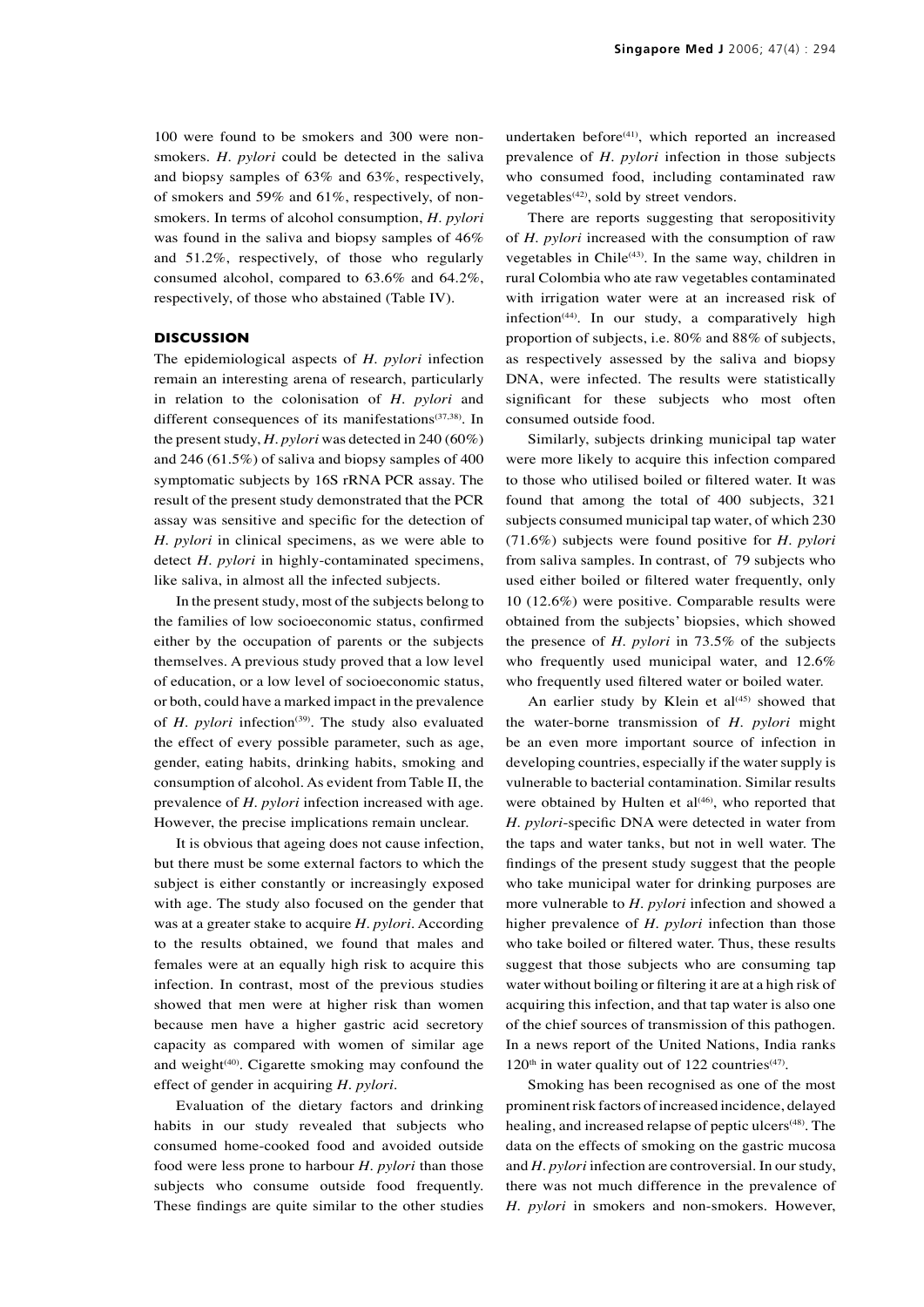100 were found to be smokers and 300 were nonsmokers. *H. pylori* could be detected in the saliva and biopsy samples of 63% and 63%, respectively, of smokers and 59% and 61%, respectively, of nonsmokers. In terms of alcohol consumption, *H. pylori* was found in the saliva and biopsy samples of 46% and 51.2%, respectively, of those who regularly consumed alcohol, compared to 63.6% and 64.2%, respectively, of those who abstained (Table IV).

#### **DISCUSSION**

The epidemiological aspects of *H. pylori* infection remain an interesting arena of research, particularly in relation to the colonisation of *H. pylori* and different consequences of its manifestations<sup>(37,38)</sup>. In the present study, *H. pylori* was detected in 240 (60%) and 246 (61.5%) of saliva and biopsy samples of 400 symptomatic subjects by 16S rRNA PCR assay. The result of the present study demonstrated that the PCR assay was sensitive and specific for the detection of *H. pylori* in clinical specimens, as we were able to detect *H. pylori* in highly-contaminated specimens, like saliva, in almost all the infected subjects.

In the present study, most of the subjects belong to the families of low socioeconomic status, confirmed either by the occupation of parents or the subjects themselves. A previous study proved that a low level of education, or a low level of socioeconomic status, or both, could have a marked impact in the prevalence of *H. pylori* infection<sup>(39)</sup>. The study also evaluated the effect of every possible parameter, such as age, gender, eating habits, drinking habits, smoking and consumption of alcohol. As evident from Table II, the prevalence of *H. pylori* infection increased with age. However, the precise implications remain unclear.

It is obvious that ageing does not cause infection, but there must be some external factors to which the subject is either constantly or increasingly exposed with age. The study also focused on the gender that was at a greater stake to acquire *H. pylori*. According to the results obtained, we found that males and females were at an equally high risk to acquire this infection. In contrast, most of the previous studies showed that men were at higher risk than women because men have a higher gastric acid secretory capacity as compared with women of similar age and weight<sup>(40)</sup>. Cigarette smoking may confound the effect of gender in acquiring *H. pylori*.

Evaluation of the dietary factors and drinking habits in our study revealed that subjects who consumed home-cooked food and avoided outside food were less prone to harbour *H. pylori* than those subjects who consume outside food frequently. These findings are quite similar to the other studies undertaken before<sup>(41)</sup>, which reported an increased prevalence of *H. pylori* infection in those subjects who consumed food, including contaminated raw vegetables $(42)$ , sold by street vendors.

There are reports suggesting that seropositivity of *H. pylori* increased with the consumption of raw vegetables in Chile<sup>(43)</sup>. In the same way, children in rural Colombia who ate raw vegetables contaminated with irrigation water were at an increased risk of infection<sup>(44)</sup>. In our study, a comparatively high proportion of subjects, i.e. 80% and 88% of subjects, as respectively assessed by the saliva and biopsy DNA, were infected. The results were statistically significant for these subjects who most often consumed outside food.

Similarly, subjects drinking municipal tap water were more likely to acquire this infection compared to those who utilised boiled or filtered water. It was found that among the total of 400 subjects, 321 subjects consumed municipal tap water, of which 230 (71.6%) subjects were found positive for *H. pylori* from saliva samples. In contrast, of 79 subjects who used either boiled or filtered water frequently, only 10 (12.6%) were positive. Comparable results were obtained from the subjects' biopsies, which showed the presence of *H. pylori* in 73.5% of the subjects who frequently used municipal water, and 12.6% who frequently used filtered water or boiled water.

An earlier study by Klein et  $al<sup>(45)</sup>$  showed that the water-borne transmission of *H. pylori* might be an even more important source of infection in developing countries, especially if the water supply is vulnerable to bacterial contamination. Similar results were obtained by Hulten et  $al<sup>(46)</sup>$ , who reported that *H. pylori*-specific DNA were detected in water from the taps and water tanks, but not in well water. The findings of the present study suggest that the people who take municipal water for drinking purposes are more vulnerable to *H. pylori* infection and showed a higher prevalence of *H. pylori* infection than those who take boiled or filtered water. Thus, these results suggest that those subjects who are consuming tap water without boiling or filtering it are at a high risk of acquiring this infection, and that tap water is also one of the chief sources of transmission of this pathogen. In a news report of the United Nations, India ranks  $120<sup>th</sup>$  in water quality out of 122 countries<sup>(47)</sup>.

Smoking has been recognised as one of the most prominent risk factors of increased incidence, delayed healing, and increased relapse of peptic ulcers<sup>(48)</sup>. The data on the effects of smoking on the gastric mucosa and *H. pylori* infection are controversial. In our study, there was not much difference in the prevalence of *H. pylori* in smokers and non-smokers. However,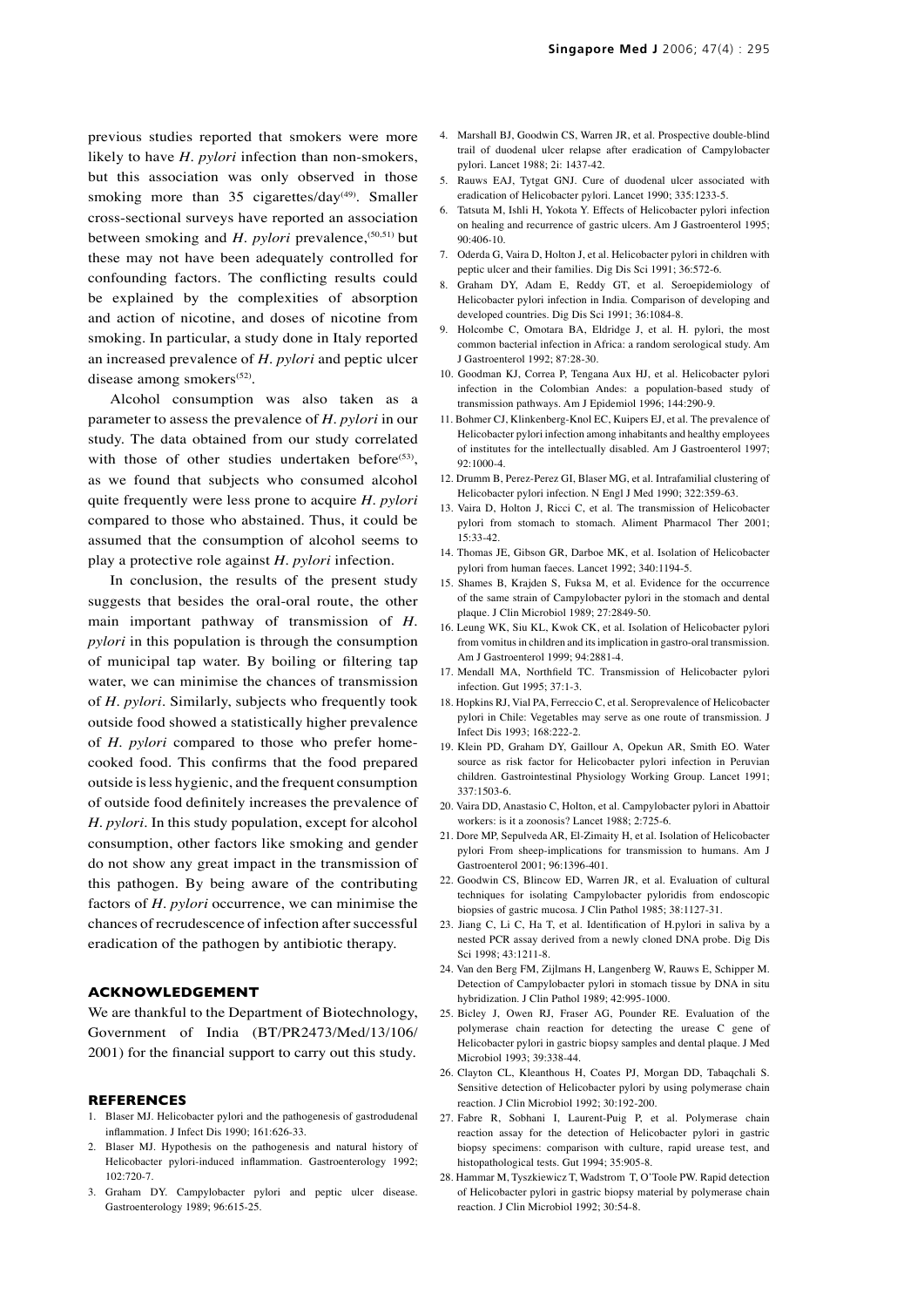previous studies reported that smokers were more likely to have *H. pylori* infection than non-smokers, but this association was only observed in those smoking more than 35 cigarettes/day<sup>(49)</sup>. Smaller cross-sectional surveys have reported an association between smoking and *H. pylori* prevalence,<sup>(50,51)</sup> but these may not have been adequately controlled for confounding factors. The conflicting results could be explained by the complexities of absorption and action of nicotine, and doses of nicotine from smoking. In particular, a study done in Italy reported an increased prevalence of *H. pylori* and peptic ulcer disease among smokers<sup>(52)</sup>.

Alcohol consumption was also taken as a parameter to assess the prevalence of *H. pylori* in our study. The data obtained from our study correlated with those of other studies undertaken before<sup> $(53)$ </sup>, as we found that subjects who consumed alcohol quite frequently were less prone to acquire *H. pylori*  compared to those who abstained. Thus, it could be assumed that the consumption of alcohol seems to play a protective role against *H. pylori* infection.

In conclusion, the results of the present study suggests that besides the oral-oral route, the other main important pathway of transmission of *H. pylori* in this population is through the consumption of municipal tap water. By boiling or filtering tap water, we can minimise the chances of transmission of *H. pylori*. Similarly, subjects who frequently took outside food showed a statistically higher prevalence of *H. pylori* compared to those who prefer homecooked food. This confirms that the food prepared outside is less hygienic, and the frequent consumption of outside food definitely increases the prevalence of *H. pylori*. In this study population, except for alcohol consumption, other factors like smoking and gender do not show any great impact in the transmission of this pathogen. By being aware of the contributing factors of *H. pylori* occurrence, we can minimise the chances of recrudescence of infection after successful eradication of the pathogen by antibiotic therapy.

#### **ACKNOWLEDGEMENT**

We are thankful to the Department of Biotechnology, Government of India (BT/PR2473/Med/13/106/ 2001) for the financial support to carry out this study.

#### **REFERENCES**

- 1. Blaser MJ. Helicobacter pylori and the pathogenesis of gastrodudenal inflammation. J Infect Dis 1990; 161:626-33.
- 2. Blaser MJ. Hypothesis on the pathogenesis and natural history of Helicobacter pylori-induced inflammation. Gastroenterology 1992;  $102:720-7$
- 3. Graham DY. Campylobacter pylori and peptic ulcer disease. Gastroenterology 1989; 96:615-25.

**Singapore Med J** 2006; 47(4) : 295

- 4. Marshall BJ, Goodwin CS, Warren JR, et al. Prospective double-blind trail of duodenal ulcer relapse after eradication of Campylobacter pylori. Lancet 1988; 2i: 1437-42.
- 5. Rauws EAJ, Tytgat GNJ. Cure of duodenal ulcer associated with eradication of Helicobacter pylori. Lancet 1990; 335:1233-5.
- 6. Tatsuta M, Ishli H, Yokota Y. Effects of Helicobacter pylori infection on healing and recurrence of gastric ulcers. Am J Gastroenterol 1995; 90:406-10.
- 7. Oderda G, Vaira D, Holton J, et al. Helicobacter pylori in children with peptic ulcer and their families. Dig Dis Sci 1991; 36:572-6.
- 8. Graham DY, Adam E, Reddy GT, et al. Seroepidemiology of Helicobacter pylori infection in India. Comparison of developing and developed countries. Dig Dis Sci 1991; 36:1084-8.
- 9. Holcombe C, Omotara BA, Eldridge J, et al. H. pylori, the most common bacterial infection in Africa: a random serological study. Am J Gastroenterol 1992; 87:28-30.
- 10. Goodman KJ, Correa P, Tengana Aux HJ, et al. Helicobacter pylori infection in the Colombian Andes: a population-based study of transmission pathways. Am J Epidemiol 1996; 144:290-9.
- 11. Bohmer CJ, Klinkenberg-Knol EC, Kuipers EJ, et al. The prevalence of Helicobacter pylori infection among inhabitants and healthy employees of institutes for the intellectually disabled. Am J Gastroenterol 1997;  $92 \cdot 1000 - 4$
- 12. Drumm B, Perez-Perez GI, Blaser MG, et al. Intrafamilial clustering of Helicobacter pylori infection. N Engl J Med 1990; 322:359-63.
- 13. Vaira D, Holton J, Ricci C, et al. The transmission of Helicobacter pylori from stomach to stomach. Aliment Pharmacol Ther 2001; 15:33-42.
- 14. Thomas JE, Gibson GR, Darboe MK, et al. Isolation of Helicobacter pylori from human faeces. Lancet 1992; 340:1194-5.
- 15. Shames B, Krajden S, Fuksa M, et al. Evidence for the occurrence of the same strain of Campylobacter pylori in the stomach and dental plaque. J Clin Microbiol 1989; 27:2849-50.
- 16. Leung WK, Siu KL, Kwok CK, et al. Isolation of Helicobacter pylori from vomitus in children and its implication in gastro-oral transmission. Am J Gastroenterol 1999; 94:2881-4.
- 17. Mendall MA, Northfield TC. Transmission of Helicobacter pylori infection. Gut 1995; 37:1-3.
- 18. Hopkins RJ, Vial PA, Ferreccio C, et al. Seroprevalence of Helicobacter pylori in Chile: Vegetables may serve as one route of transmission. J Infect Dis 1993; 168:222-2.
- 19. Klein PD, Graham DY, Gaillour A, Opekun AR, Smith EO. Water source as risk factor for Helicobacter pylori infection in Peruvian children. Gastrointestinal Physiology Working Group. Lancet 1991; 337:1503-6.
- 20. Vaira DD, Anastasio C, Holton, et al. Campylobacter pylori in Abattoir workers: is it a zoonosis? Lancet 1988; 2:725-6.
- 21. Dore MP, Sepulveda AR, El-Zimaity H, et al. Isolation of Helicobacter pylori From sheep-implications for transmission to humans. Am J Gastroenterol 2001; 96:1396-401.
- 22. Goodwin CS, Blincow ED, Warren JR, et al. Evaluation of cultural techniques for isolating Campylobacter pyloridis from endoscopic biopsies of gastric mucosa. J Clin Pathol 1985; 38:1127-31.
- 23. Jiang C, Li C, Ha T, et al. Identification of H.pylori in saliva by a nested PCR assay derived from a newly cloned DNA probe. Dig Dis Sci 1998; 43:1211-8.
- 24. Van den Berg FM, Zijlmans H, Langenberg W, Rauws E, Schipper M. Detection of Campylobacter pylori in stomach tissue by DNA in situ hybridization. J Clin Pathol 1989; 42:995-1000.
- 25. Bicley J, Owen RJ, Fraser AG, Pounder RE. Evaluation of the polymerase chain reaction for detecting the urease C gene of Helicobacter pylori in gastric biopsy samples and dental plaque. J Med Microbiol 1993; 39:338-44.
- 26. Clayton CL, Kleanthous H, Coates PJ, Morgan DD, Tabaqchali S. Sensitive detection of Helicobacter pylori by using polymerase chain reaction. J Clin Microbiol 1992; 30:192-200.
- 27. Fabre R, Sobhani I, Laurent-Puig P, et al. Polymerase chain reaction assay for the detection of Helicobacter pylori in gastric biopsy specimens: comparison with culture, rapid urease test, and histopathological tests. Gut 1994; 35:905-8.
- 28. Hammar M, Tyszkiewicz T, Wadstrom T, O'Toole PW. Rapid detection of Helicobacter pylori in gastric biopsy material by polymerase chain reaction. J Clin Microbiol 1992; 30:54-8.